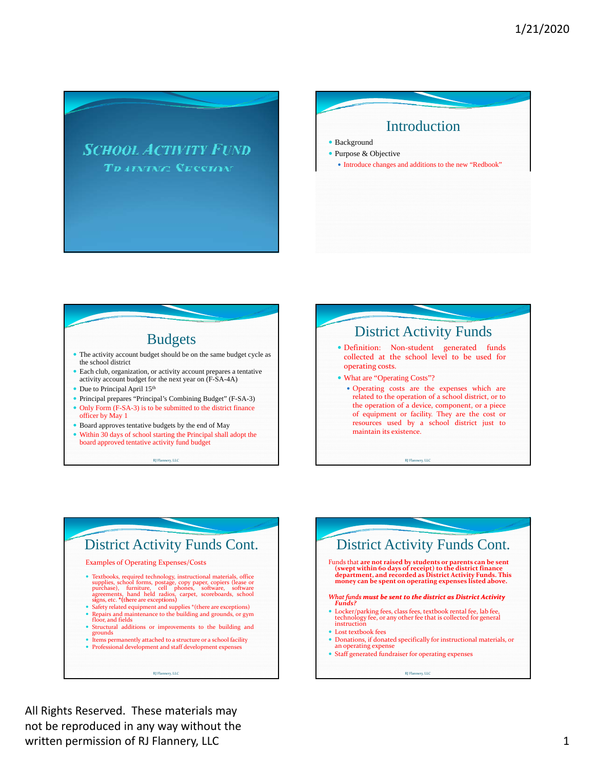





- The activity account budget should be on the same budget cycle as the school district
- Each club, organization, or activity account prepares a tentative activity account budget for the next year on (F-SA-4A)
- Due to Principal April 15<sup>th</sup>
- Principal prepares "Principal's Combining Budget" (F-SA-3) • Only Form (F-SA-3) is to be submitted to the district finance
- officer by May 1
- Board approves tentative budgets by the end of May
- Within 30 days of school starting the Principal shall adopt the board approved tentative activity fund budget

RJ Flannery, LLC



### District Activity Funds Cont. Examples of Operating Expenses/Costs Textbooks, required technology, instructional materials, office supplies, school forms, postage, copy paper, copiers (lease or purchase), furniture, cell phones, software, software agreements, hand held radios, carpet, scoreboards, school signs, etc. \*(there are exceptions)  $\bullet~$  Safety related equipment and supplies \*(there are exceptions)  $\blacksquare$  From and maintenance to the building and grounds, or gym floor, and fields

- Structural additions or improvements to the building and
- grounds
- Items permanently attached to a structure or a school facility
- Professional development and staff development expenses

RJ Flannery, LLC



All Rights Reserved. These materials may not be reproduced in any way without the written permission of RJ Flannery, LLC 1 and 1 and 2 and 2 and 2 and 2 and 2 and 2 and 2 and 2 and 2 and 2 and 2 and 2 and 2 and 2 and 2 and 2 and 2 and 2 and 2 and 2 and 2 and 2 and 2 and 2 and 2 and 2 and 2 and 2 and 2 a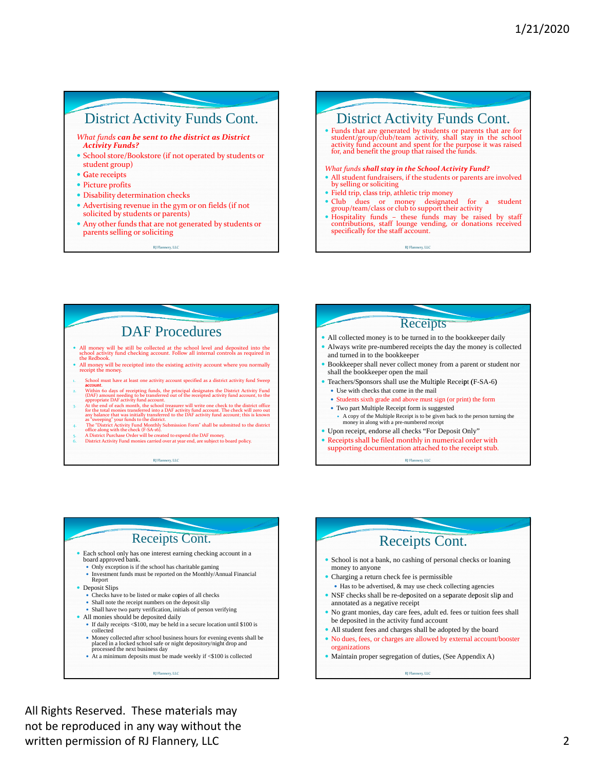# District Activity Funds Cont.

*What funds can be sent to the district as District Activity Funds?*

- School store/Bookstore (if not operated by students or student group)
- Gate receipts
- Picture profits
- Disability determination checks
- Advertising revenue in the gym or on fields (if not solicited by students or parents)
- Any other funds that are not generated by students or parents selling or soliciting

Flannery, LLC RJ Flannery, LLC RJ Flannery, All Communications and the communications of the communications of the communications of the communications of the communications of the communications of the communications of t RJ Flannery, LLC

# District Activity Funds Cont. • Funds that are generated by students or parents that are for student/group/club/team activity, shall stay in the school activity fund account and spent for the purpose it was raised for, and benefit the group that raised *What funds shall stay in the School Activity Fund? y y* • All student fundraisers, if the students or parents are involved by selling or soliciting Field trip, class trip, athletic trip money Club dues or money designated for a student group/team/class or club to support their activity Hospitality funds – these funds may be raised by staff contributions, staff lounge vending, or donations received

RJ Flannery, LLC

specifically for the staff account.

# DAF Procedures

- All money will be still be collected at the school level and deposited into the school activity fund checking account. Follow all internal controls as required in the Redbook...
- All money will be receipted into the existing activity account where you normally receipt the money.
- 1. School must have at least one activity account specified as <sup>a</sup> district activity fund Sweep account. 2. Within 60 days of receipting funds, the principal designates the District Activity Fund (DAF) amount needing to be transferred out of the receipted activity fund account, to the appropriate DAF activity fund account.
- 3. At the end of each month, the school treasurer will write one check to the district office for the total monies transferred into a DAF activity fund account. The check will zero out any balance that was initially transf
- 4. The "District Activity Fund Monthly Submission Form" shall be submitted to the district office along with the check (F‐SA‐16).
- 5. A District Purchase Order will be created to expend the DAF money. 6. District Activity Fund monies carried over at year end, are subject to board policy.

RJ Flannery, LLC

#### Flannery, LLC RJ Flannery, LLC RJ Flannery, All Communications and the communications of the communications of the communications of the communications of the communications of the communications of the communications of t Receipts All collected money is to be turned in to the bookkeeper daily Always write pre-numbered receipts the day the money is collected and turned in to the bookkeeper Bookkeeper shall never collect money from a parent or student nor shall the bookkeeper open the mail Teachers/Sponsors shall use the Multiple Receipt (F-SA-6) Use with checks that come in the mail Students sixth grade and above must sign (or print) the form Two part Multiple Receipt form is suggested A copy of the Multiple Receipt is to be given back to the person turning the money in along with a pre-numbered receipt Upon receipt, endorse all checks "For Deposit Only" Receipts shall be filed monthly in numerical order with supporting documentation attached to the receipt stub. RJ Flannery, LLC

### Receipts Cont.

- Each school only has one interest earning checking account in a board approved bank.
	- Only exception is if the school has charitable gaming
	- Investment funds must be reported on the Monthly/Annual Financial Report
- **Deposit Slips** 
	- Checks have to be listed or make copies of all checks Shall note the receipt numbers on the deposit slip
- Shall have two party verification, initials of person verifying
- All monies should be deposited daily
- If daily receipts  $$\$100$ , may be held in a secure location until \$100 is collected
- Money collected after school business hours for evening events shall be placed in a locked school safe or night depository/night drop and processed the next business day
- At a minimum deposits must be made weekly if <\$100 is collected

Flannery, LLC RJ Flannery, LLC RJ Flannery, All Communications and the communications of the communications of the communications of the communications of the communications of the communications of the communications of t RJ Flannery, LLC

# Receipts Cont.

- School is not a bank, no cashing of personal checks or loaning money to anyone
- Charging a return check fee is permissible Has to be advertised, & may use check collecting agencies
- NSF checks shall be re-deposited on a separate deposit slip and annotated as a negative recei pt
- No grant monies, day care fees, adult ed. fees or tuition fees shall be deposited in the activity fund account
- All student fees and charges shall be adopted by the board
- No dues, fees, or charges are allowed by external account/booster organizations
- Maintain proper segregation of duties, (See Appendix A)

RJ Flannery, LLC

 All Rights Reserved. These materials may not be reproduced in any way without the written permission of RJ Flannery, LLC 2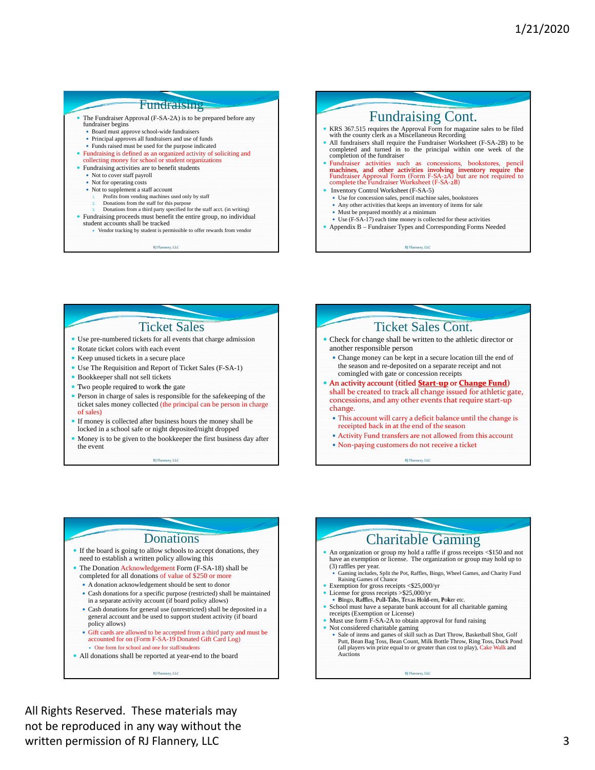### **Fundraising**

- fundraiser begins
	- Board must approve school-wide fundraisers
	- Principal approves all fundraisers and use of funds
- $\bullet$  Funds raised must be used for the purpose indicated Fundraising is defined as an organized activity of soliciting and
- collecting money for school or student organizations
- Fundraising activities are to benefit students • Not to cover staff payroll
	- Not for operating costs
	- Not to supplement a staff account
		-
		- 1. Profits from vending machines used only by staff 2. Donations from the staff for this purpose
	- 3. Donations from a third party specified for the staff acct. (in writing)
- Fundraising proceeds must benefit the entire group, no individual student accounts shall be tracked
	- Vendor tracking by student is permissible to offer rewards from vendor
		- RJ Flannery, LLC

### The Fundraiser Approval (F-SA-2A) is to be prepared before any  $\noindent \Box$  Fundraising Cont. KRS 367.515 requires the Approval Form for magazine sales to be filed with the county clerk as a Miscellaneous Recording All fundraisers shall require the Fundraiser Worksheet (F-SA-2B) to be completed and turned in to the principal within one week of the completion of the fundraiser • Fundraiser activities such as concessions, bookstores, pencil machines, and other activities involving inventory require the Fundraiser Approval Form (Form F-SA-2A) but are not required to complete the Fundraiser Workshe Inventory Control Worksheet (F-SA-5) Use for concession sales, pencil machine sales, bookstores Any other activities that keeps an inventory of items for sale Must be prepared monthly at a minimum Use (F-SA-17) each time money is collected for these activities Appendix B – Fundraiser Types and Corresponding Forms Needed

RJ Flannery, LLC

# Ticket Sales

- Use pre-numbered tickets for all events that charge admission
- Rotate ticket colors with each event
- Keep unused tickets in a secure place
- Use The Requisition and Report of Ticket Sales (F-SA-1)
- Bookkeeper shall not sell tickets
- $\bullet$  Two people required to work the gate
- Person in charge of sales is responsible for the safekeeping of the ticket sales money collected (the principal can be person in charge of sales)
- If money is collected after business hours the money shall be locked in a school safe or night deposited/night dropped
- Money is to be given to the bookkeeper the first business day after the event

RJ Flannery, LLC



RJ Flannery, LLC

### Donations

- If the board is going to allow schools to accept donations, they need to establish a written policy allowing this
- The Donation Acknowledgement Form (F-SA-18) shall be completed for all donations of value of \$250 or more
	- A donation acknowledgement should be sent to donor
- Cash donations for a specific purpose (restricted) shall be maintained in a separate activity account (if board policy allows)
- Cash donations for general use (unrestricted) shall be deposited in a general account and be used to support student activity (if board policy allows)
- Gift cards are allowed to be accepted from a third party and must be accounted for on (Form F-SA-19 Donated Gift Card Log) One form for school and one for staff/students
- All donations shall be reported at year-end to the board

RJ Flannery, LLC

#### RJ Flannery, LLC Charitable Gaming An organization or group my hold a raffle if gross receipts <\$150 and not have an exemption or license. The organization or group may hold up to (3) raffles per year. Gaming includes, Split the Pot, Raffles, Bingo, Wheel Games, and Charity Fund Raising Games of Chance • Exemption for gross receipts <\$25,000/yr<br>• License for gross receipts >\$25,000/yr · Bingo, Raffles, Pull-Tabs, Texas Hold-em, Poker etc. School must have a separate bank account for all charitable gaming receipts (Exemption or License) Must use form F-SA-2A to obtain approval for fund raising • Not considered charitable gaming <br>• Sale of items and games of skill such as Dart Throw, Basketball Shot, Golf Putt, Bean Bag Toss, Bean Count, Milk Bottle Throw, Ring Toss, Duck Pond (all players win prize equal to or greater than cost to play), Cake Walk and Auctions

 All Rights Reserved. These materials may not be reproduced in any way without the written permission of RJ Flannery, LLC 3 and 3 and 3 and 3 and 3 and 3 and 3 and 3 and 3 and 3 and 3 and 3 and 3 and 3 and 3 and 3 and 3 and 3 and 3 and 3 and 3 and 3 and 3 and 3 and 3 and 3 and 3 and 3 and 3 and 3 and 3 a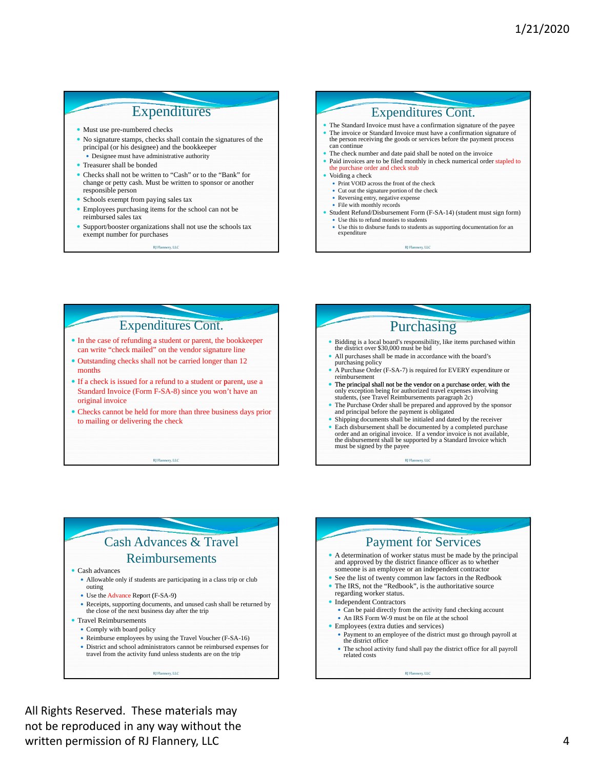# Expenditures

- Must use pre-numbered checks
- No signature stamps, checks shall contain the signatures of the principal (or his designee) and the bookkeeper
- Designee must have administrative authority Treasurer shall be bonded
- 
- Checks shall not be written to "Cash" or to the "Bank" for change or petty cash. Must be written to sponsor or another responsible person
- Schools exempt from paying sales tax
- Employees purchasing items for the school can not be reimbursed sales tax
- Support/booster organizations shall not use the schools tax exempt number for purchases

RJ Flannery, LLC



# Expenditures Cont.

- In the case of refunding a student or parent, the bookkeeper can write "check mailed" on the vendor signature line
- Outstanding checks shall not be carried longer than 12 months
- If a check is issued for a refund to a student or parent, use a Standard Invoice (Form F-SA-8) since you won' t have an original invoice
- Checks cannot be held for more than three business days prior to mailing or delivering the check

#### RJ Flannery, LLC

# Purchasing

- Bidding is a local board's responsibility, like items purchased within the district over \$30,000 must be bid
- All purchases shall be made in accordance with the board's purchasing policy
- A Purchase Order (F-SA-7) is required for EVERY expenditure or reimbursement
- The principal shall not be the vendor on a purchase order, with the only exception being for authorized travel expenses involving students, (see Travel Reimbursements paragraph 2c)
- The Purchase Order shall be prepared and approved by the sponsor and principal before the payment is obligated
- Shipping documents shall be initialed and dated by the receiver
- Each disbursement shall be documented by a completed purchase order and an original invoice. If a vendor invoice is not available, the disbursement shall be supported by a Standard Invoice which must be signed by the payee

RJ Flannery, LLC

# Cash Advances & Travel Reimbursements

Cash advances

- Allowable only if students are participating in a class trip or club outing
- Use the Advance Report (F-SA-9)
- Receipts, supporting documents, and unused cash shall be returned by the close of the next business day after the trip
- Travel Reimbursements
	- Comply with board policy
	- Reimburse employees by using the Travel Voucher (F-SA-16)

RJ Flannery, LLC

 District and school administrators cannot be reimbursed expenses for travel from the activity fund unless students are on the trip

#### Payment for Services A determination of worker status must be made by the principal and approved by the district finance officer as to whether someone is an employee or an independent contractor See the list of twenty common law factors in the Redbook The IRS, not the "Redbook", is the authoritative source regarding worker status. • Independent Contractors Can be paid directly from the activity fund checking account An IRS Form W-9 must be on file at the school Employees (extra duties and services) Payment to an employee of the district must go through payroll at the district office The school activity fund shall pay the district office for all payroll related costs RJ Flannery, LLC

 All Rights Reserved. These materials may not be reproduced in any way without the written permission of RJ Flannery, LLC 4 and 2008 and 2008 and 2008 and 2008 and 2008 and 2008 and 2008 and 20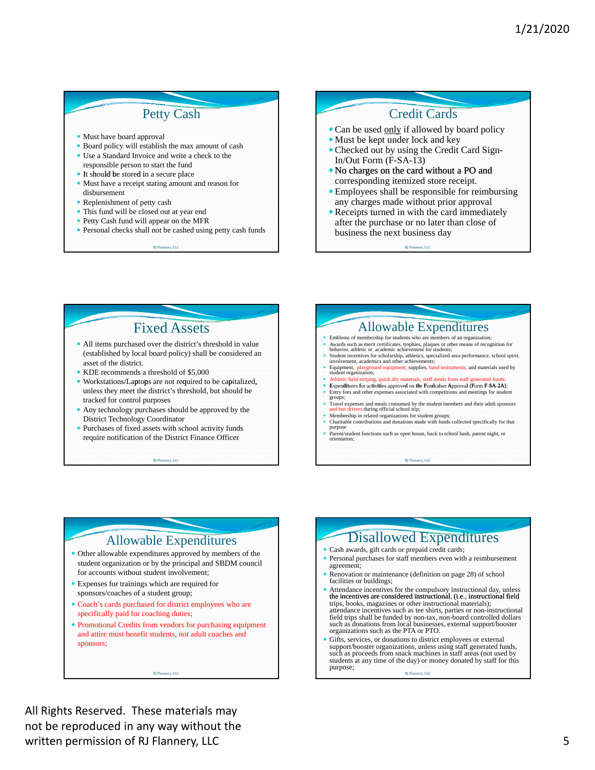## Petty Cash

Must have board approval

- Board policy will establish the max amount of cash
- Use a Standard Invoice and write a check to the
- responsible person to start the fund • It should be stored in a secure place
- Must have a receipt stating amount and reason for disbursement
- Replenishment of petty cash
- This fund will be closed out at year end
- Petty Cash fund will appear on the MFR
- Personal checks shall not be cashed using petty cash funds

Flannery, LLC RJ Flannery, LLC RJ Flannery, All Communications and the communications of the communications of the communications of the communications of the communications of the communications of the communications of t RJ Flannery, LLC

# Credit Cards

- Can be used only if allowed by board policy
- Must be kept under lock and key Checked out by using the Credit Card Sign-
- In/Out Form (F-SA-13) No charges on the card without a PO and
- corresponding itemized store receipt.
- Employees shall be responsible for reimbursing any charges made without prior approval
- Receipts turned in with the card immediately after the purchase or no later than close of business the next business day

RJ Flannery, LLC

# Fixed Assets

- All items purchased over the district's threshold in value (established by local board policy) shall be considered an asset of the district.
- KDE recommends a threshold of \$5,000
- Workstations/Laptops are not required to be capitalized, unless they meet the district's threshold, but should be tracked for control purposes
- Any technology purchases should be approved by the District Technology Coordinator
- Purchases of fixed assets with school activity funds require notification of the District Finance Officer

#### Flannery, LLC RJ Flannery, LLC RJ Flannery, All Communications and the communications of the communications of the communications of the communications of the communications of the communications of the communications of t RJ Flannery, LLC

# Allowable Expenditures

- Emblems of membership for students who are members of an organization; Awards such as merit certificates, trophies, plaques or other means of recognition for behavior, athletic or academic achievement for students;
- Student incentives for scholarship, athletics, specialized area performance, school spirit, involvement, academics and other achievements;
- Equipment, playground equipment, supplies, band instruments, and materials used by student organization; Athletic field striping, quick dry materials, staff meals from staff generated funds;
- 
- Expenditures for activities approved on the Fundraiser Approval (Form F-SA-2A); <br>
 Fintry fees and other expenses associated with competitions and meetings for student groups;
- Travel expenses and meals consumed by the student members and their adult sponsors and buse during official school trip;  $\frac{1}{2}$
- Finance squares and unitary constants of the student members and their approximates and bus drivers during official school trip;<br>
Membership in related organizations for student groups;<br>
Charitable contributions and donati
- Charitable contributions and donations made with funds collected specifically for that purpose<br>• Parent/student functions such as open house, back to school bash, parent night, or<br>• Parent studion;

RJ Flannery, LLC

### Allowable Expenditures

- Other allowable expenditures approved by members of the student organization or by the principal and SBDM council for accounts without student involvement;
- Expenses for trainings which are required for sponsors/coaches of a student group;
- Coach's cards purchased for district employees who are specifically paid for coaching duties;
- Promotional Credits from vendors for purchasing equipment and attire must benefit students, not adult coaches and sponsors;

RJ Flannery, LLC

# Disallowed Expenditures

- Cash awards, gift cards or prepaid credit cards;
- Personal purchases for staff members even with a reimbursement agreement;
- Renovation or maintenance (definition on page 28) of school facilities or buildings;
- Attendance incentives for the compulsory instructional day, unless the incentives are considered instructional, (i.e., instructional field trips, books, magazines or other instructional materials); attendance incentives field trips shall be funded by non-tax, non-board controlled dollars such as donations from local businesses, external support/booster organizations such as the PTA or PTO.
- Gifts, services, or donations to district employees or external support/booster organizations, unless using staff generated funds, such as proceeds from snack machines in staff areas (not used by students at any time of the day) or money donated by staff for this purpose;

RJ Flannery, LLC

 All Rights Reserved. These materials may not be reproduced in any way without the written permission of RJ Flannery, LLC 5 and 5 and 5 and 5 and 5 and 5 and 5 and 5 and 5 and 5 and 5 and 5 and 5  $\,$  5 and 5 and 5 and 5 and 5 and 5 and 5 and 5 and 5 and 5 and 5 and 5 and 5 and 5 and 5 and 5 and 5 and 5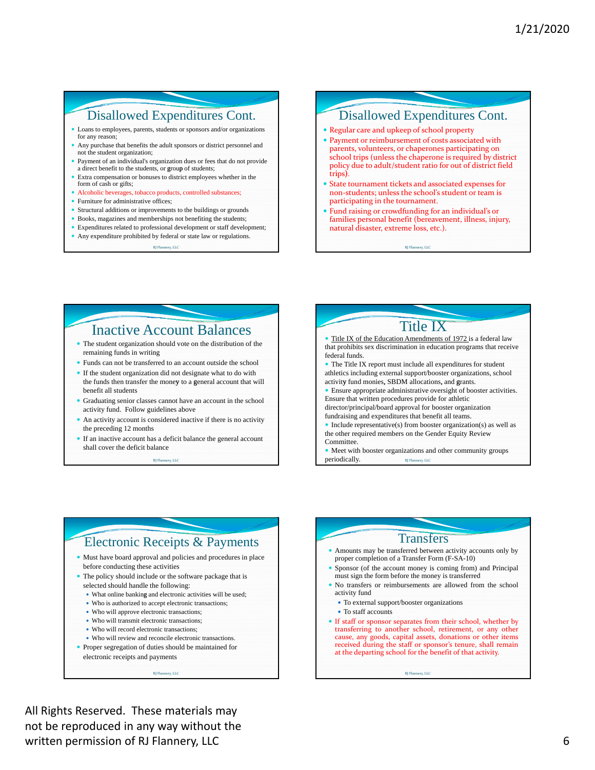## Disallowed Expenditures Cont.

- Loans to employees, parents, students or sponsors and/or organizations for any reason;
- Any purchase that benefits the adult sponsors or district personnel and not the student organization;
- Payment of an individual's organization dues or fees that do not provide a direct benefit to the students, or group of students;
- Extra compensation or bonuses to district employees whether in the form of cash or gifts;
- Alcoholic beverages, tobacco products, controlled substances;
- Furniture for administrative offices;
- Structural additions or improvements to the buildings or grounds
- Books, magazines and memberships not benefiting the students:
- Expenditures related to professional development or staff development; Any expenditure prohibited by federal or state law or regulations.

RJ Flannery, LLC

### Disallowed Expenditures Cont.

- Regular care and upkeep of school property
- Payment or reimbursement of costs associated with parents, volunteers, or chaperones participating on school trips (unless the chaperone is required by district policy due to adult/student ratio for out of district field trips).
- State tournament tickets and associated expenses for non‐students; unless the school's student or team is participating in the tournament.
- Fund raising or crowdfunding for an individual's or families personal benefit (bereavement, illness, injury, natural disaster, extreme loss, etc.).

Flannery, LLC RJ Flannery, LLC RJ Flannery, All Communications and the communications of the communications of the communications of the communications of the communications of the communications of the communications of t RJ Flannery, LLC

### Inactive Account Balances

- The student organization should vote on the distribution of the remaining funds in writing
- Funds can not be transferred to an account outside the school
- If the student organization did not designate what to do with the funds then transfer the money to a general account that will benefit all students
- Graduating senior classes cannot have an account in the school activity fund. Follow guidelines above
- An activity account is considered inactive if there is no activity the preceding 12 months
- If an inactive account has a deficit balance the general account shall cover the deficit balance

Flannery, RJ Flannery, LLC

# Title IX

 Title IX of the Education Amendments of 1972 is a federal law that prohibits sex discrimination in education programs that receive federal funds.

 The Title IX report must include all expenditures for student athletics including external support/booster organizations, school activity fund monies, SBDM allocations, and grants.

• Ensure appropriate administrative oversight of booster activities. Ensure that written procedures provide for athletic director/principal/board approval for booster organization

fundraising and expenditures that benefit all teams.  $\bullet$  Include representative(s) from booster organization(s) as well as

the other required members on the Gender Equity Review Committee.

 Meet with booster organizations and other community groups  $periodically.$ 

### Electronic Receipts & Payments

 Must have board approval and policies and procedures in place before conducting these activities

- The policy should include or the software package that is selected should handle the following:
	- What online banking and electronic activities will be used;
	- Who is authorized to accept electronic transactions;
	- Who will approve electronic transactions;
	- Who will transmit electronic transactions;
	- Who will record electronic transactions;
	- Who will review and reconcile electronic transactions.

RJ Flannery, LLC

• Proper segregation of duties should be maintained for electronic receipts and payments

### Transfers Amounts may be transferred between activity accounts only by proper completion of a Transfer Form (F-SA-10)

- Sponsor (of the account money is coming from) and Principal must sign the form before the money is transferred
- No transfers or reimbursements are allowed from the school activity fund
	- To external support/booster organizations
	- To staff accounts
- If staff or sponsor separates from their school, whether by transferring to another school, retirement, or any other cause, any goods, capital assets, donations or other items received during the staff or sponsor's tenure, shall remain at the departing school for the benefit of that activity.

RJ Flannery, LLC

 All Rights Reserved. These materials may not be reproduced in any way without the written permission of RJ Flannery, LLC 6 and the state of the state of the state of the state of the state of the state of the state of the state of the state of the state of the state of the state of the state of the stat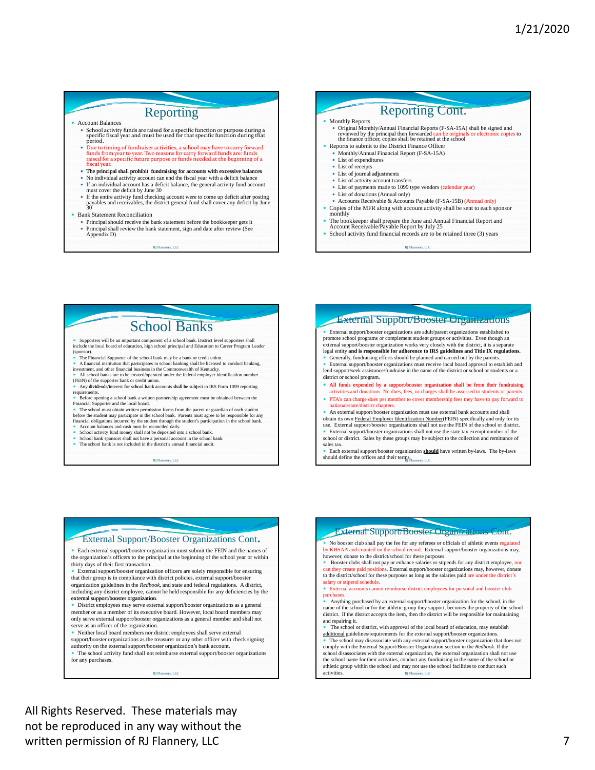### Reporting

#### Account Balances

- School activity funds are raised for a specific function or purpose during a specific fiscal year and must be used for that specific function during that period.<br>
period.<br>
Due to timing of fundraiser activities, a school m
- but to the ming of tannuals are the three states of the state of the state of the state of the state of the state of the state of the state of the state of the state of the state of the state of the state of the state of t
- $\bullet$  The principal shall prohibit fundraising for accounts with excessive bala
- No individual activity account can end the fiscal year with a deficit balance
- If an individual account has a deficit balance, the general activity fund account must cover the deficit by June 30
- If the entire activity fund checking account were to come up deficit after posting payables and receivables, the district general fund shall cover any deficit by June 30

#### Bank Statement Reconciliation

 Principal should receive the bank statement before the bookkeeper gets it Principal shall review the bank statement, sign and date after review (See Appendix D)

RI Flannery, LLC



- 
- The bookkeeper shall prepare the June and Annual Financial Report and Account Receivable/Payable Report by July 25
- School activity fund financial records are to be retained three (3) years

RJ Flannery, LLC

# School Banks

Supporters will be an important component of a school bank. District level supporters shall include the local board of education, high school principal and Education to Career Program Leader

- The Financial Supporter of the school bank may be a bank or credit union
- The Financial Supporter of the school bank may be a bank or credit union.<br>• A financial institution that participates in school banking shall be licensed to conduct banking,<br>tinvestment, and other financial business in t
- 
- quirements.<br>Before opening a s chool bank a written partnership agreement must be obtained between the Financial Supporter and the local board.
- The school must obtain written permission forms from the parent or guardian of each student<br>before the student may participate in the school bank. Parents must agree to be responsible for any<br>financial obligations incurred
- Account balances and cash must be reconciled daily.
- 
- School activity fund money shall not be deposited into a school bank. School bank sponsors shall not have a personal account in the school bank. The school bank is not included in the district's annual financial audit.
- 

RJ Flannery, LLC

#### External Support/Booster Organizations External support/booster organizations are adult/parent organizations established to

promote school programs or complement student groups or activities. Even though an external support/booster organization works very closely with the district, it is a separate legal entity **and is responsible for adherence to IRS guidelines and Title IX regulations.** 

• Generally, fundraising efforts should be planned and carried out by the parents. External support/booster organizations must receive local board approval to establish and lend support/seek assistance/fundraise in the name of the district or school or students or a district or school program.

- All funds expended by a support/booster organization shall be from their fundraising activities and donations. No dues, fees, or charges shall be assessed to students or parents.
- PTA's can charge dues per member to cover membership fees they have to pay forward to nal/state/district chapters.
- An external support/booster organization must use external bank accounts and shall obtain its own Federal Employer Identification Number(FEIN) specifically and only for its

use. External support/booster organizations shall not use the FEIN of the school or district. External support/booster organizations shall not use the state tax exempt number of the school or district. Sales by these groups may be subject to the collection and remittance of

sales tax. Each external support/booster organization **should** have written by-laws. The by-laws

should define the offices and their term $S_{\text{Flannery, LLC}}$ 

#### External Support/Booster Organizations Cont.

 Each external support/booster organization must submit the FEIN and the names of the organization's officers to the principal at the beginning of the school year or within thirty days of their first transaction.

 External support/booster organization officers are solely responsible for ensuring that their group is in compliance with district policies, external support/booster organization guidelines in the *Redbook*, and state and federal regulations. A district, including any district employee, cannot be held responsible for any deficiencies by the external support/booster organization.

 District employees may serve external support/booster organizations as a general member or as a member of its executive board. However, local board members may only serve external support/booster organizations as a general member and shall not serve as an officer of the organization.

 Neither local board members nor district employees shall serve external support/booster organizations as the treasurer or any other officer with check signing

brity on the external support/booster organization's bank account. The school activity fund shall not reimburse external support/booster organizations

for any purchases.

RJ Flannery, LLC

#### External Support/Booster Organizations Cont.

• No booster club shall pay the fee for any referees or officials of athletic events regulated by KHSAA and counted on the school record. External support/booster organizations may, however, donate to the district/school for these purposes.

Booster clubs shall not pay or enhance salaries or stipends for any district employee, nor can they create paid positions. External support/booster organizations may, however, donate to the district's chool for these purposes as long as the salaries paid are under the district's

salary or stipend schedule External accounts cannot reimburse district employees for personal and booster club

purchases. Anything purchased by an external support/booster organization for the school, in the name of the school or for the athletic group they support, becomes the property of the school district. If the district accepts the item, then the district will be responsible for maintaining and repairing it.

• The school or district, with approval of the local board of education, may establish additional guidelines/requirements for the external support/booster organizations.

• The school may disassociate with any external support/booster organization that does not comply with the External Support/Booster Organization section in the  $Redbook$ . If the school disassociates with the external organiza athletic group within the school and may not use the school facilities to conduct such activities. RJ Flannery, LLC

 All Rights Reserved. These materials may not be reproduced in any way without the written permission of RJ Flannery, LLC 7 and 7 and 7 and 7 and 7 and 7 and 7 and 7 and 7 and 7 and 7 and 7 and 7 and 7 and 7 and 7 and 7 and 7 and 7 and 7 and 7 and 7 and 7 and 7 and 7 and 7 and 7 and 7 and 7 and 7 and 7 a